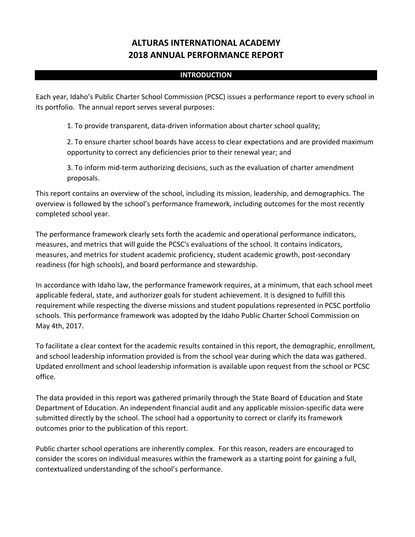# **ALTURAS INTERNATIONAL ACADEMY 2018 ANNUAL PERFORMANCE REPORT**

#### **INTRODUCTION**

Each year, Idaho's Public Charter School Commission (PCSC) issues a performance report to every school in its portfolio. The annual report serves several purposes:

1. To provide transparent, data-driven information about charter school quality;

2. To ensure charter school boards have access to clear expectations and are provided maximum opportunity to correct any deficiencies prior to their renewal year; and

3. To inform mid-term authorizing decisions, such as the evaluation of charter amendment proposals.

This report contains an overview of the school, including its mission, leadership, and demographics. The overview is followed by the school's performance framework, including outcomes for the most recently completed school year.

The performance framework clearly sets forth the academic and operational performance indicators, measures, and metrics that will guide the PCSC's evaluations of the school. It contains indicators, measures, and metrics for student academic proficiency, student academic growth, post-secondary readiness (for high schools), and board performance and stewardship.

In accordance with Idaho law, the performance framework requires, at a minimum, that each school meet applicable federal, state, and authorizer goals for student achievement. It is designed to fulfill this requirement while respecting the diverse missions and student populations represented in PCSC portfolio schools. This performance framework was adopted by the Idaho Public Charter School Commission on May 4th, 2017.

To facilitate a clear context for the academic results contained in this report, the demographic, enrollment, and school leadership information provided is from the school year during which the data was gathered. Updated enrollment and school leadership information is available upon request from the school or PCSC office.

The data provided in this report was gathered primarily through the State Board of Education and State Department of Education. An independent financial audit and any applicable mission-specific data were submitted directly by the school. The school had a opportunity to correct or clarify its framework outcomes prior to the publication of this report.

Public charter school operations are inherently complex. For this reason, readers are encouraged to consider the scores on individual measures within the framework as a starting point for gaining a full, contextualized understanding of the school's performance.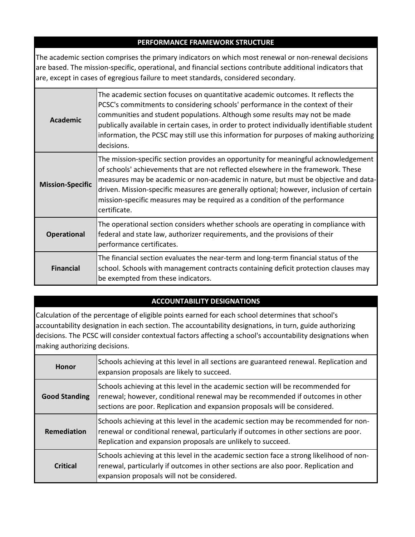### **PERFORMANCE FRAMEWORK STRUCTURE**

The academic section comprises the primary indicators on which most renewal or non-renewal decisions are based. The mission-specific, operational, and financial sections contribute additional indicators that are, except in cases of egregious failure to meet standards, considered secondary.

| <b>Academic</b>         | The academic section focuses on quantitative academic outcomes. It reflects the<br>PCSC's commitments to considering schools' performance in the context of their<br>communities and student populations. Although some results may not be made<br>publically available in certain cases, in order to protect individually identifiable student<br>information, the PCSC may still use this information for purposes of making authorizing<br>decisions.  |
|-------------------------|-----------------------------------------------------------------------------------------------------------------------------------------------------------------------------------------------------------------------------------------------------------------------------------------------------------------------------------------------------------------------------------------------------------------------------------------------------------|
| <b>Mission-Specific</b> | The mission-specific section provides an opportunity for meaningful acknowledgement<br>of schools' achievements that are not reflected elsewhere in the framework. These<br>measures may be academic or non-academic in nature, but must be objective and data-<br>driven. Mission-specific measures are generally optional; however, inclusion of certain<br>mission-specific measures may be required as a condition of the performance<br>certificate. |
| <b>Operational</b>      | The operational section considers whether schools are operating in compliance with<br>federal and state law, authorizer requirements, and the provisions of their<br>performance certificates.                                                                                                                                                                                                                                                            |
| <b>Financial</b>        | The financial section evaluates the near-term and long-term financial status of the<br>school. Schools with management contracts containing deficit protection clauses may<br>be exempted from these indicators.                                                                                                                                                                                                                                          |

## **ACCOUNTABILITY DESIGNATIONS**

Calculation of the percentage of eligible points earned for each school determines that school's accountability designation in each section. The accountability designations, in turn, guide authorizing decisions. The PCSC will consider contextual factors affecting a school's accountability designations when making authorizing decisions.

| <b>Honor</b>         | Schools achieving at this level in all sections are guaranteed renewal. Replication and<br>expansion proposals are likely to succeed.                                                                                                          |
|----------------------|------------------------------------------------------------------------------------------------------------------------------------------------------------------------------------------------------------------------------------------------|
| <b>Good Standing</b> | Schools achieving at this level in the academic section will be recommended for<br>renewal; however, conditional renewal may be recommended if outcomes in other<br>sections are poor. Replication and expansion proposals will be considered. |
| Remediation          | Schools achieving at this level in the academic section may be recommended for non-<br>renewal or conditional renewal, particularly if outcomes in other sections are poor.<br>Replication and expansion proposals are unlikely to succeed.    |
| <b>Critical</b>      | Schools achieving at this level in the academic section face a strong likelihood of non-<br>renewal, particularly if outcomes in other sections are also poor. Replication and<br>expansion proposals will not be considered.                  |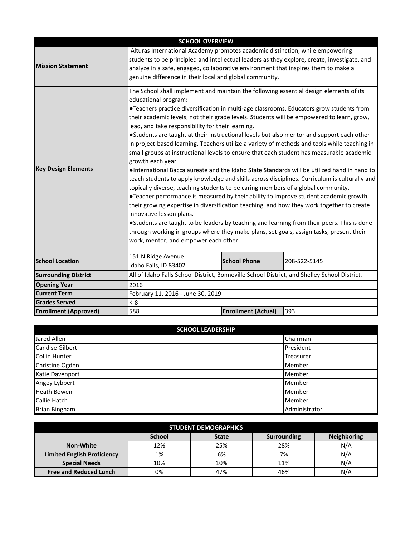|                              | <b>SCHOOL OVERVIEW</b>                                                                                                                                                                                                                                                                                                                                                                                                                                                                                                                                                                                                                                                                                                                                                                                                                                                                                                                                                                                                                                                                                                                                                                                              |                            |                                                                                                                                                                                               |  |  |  |  |
|------------------------------|---------------------------------------------------------------------------------------------------------------------------------------------------------------------------------------------------------------------------------------------------------------------------------------------------------------------------------------------------------------------------------------------------------------------------------------------------------------------------------------------------------------------------------------------------------------------------------------------------------------------------------------------------------------------------------------------------------------------------------------------------------------------------------------------------------------------------------------------------------------------------------------------------------------------------------------------------------------------------------------------------------------------------------------------------------------------------------------------------------------------------------------------------------------------------------------------------------------------|----------------------------|-----------------------------------------------------------------------------------------------------------------------------------------------------------------------------------------------|--|--|--|--|
| <b>Mission Statement</b>     | Alturas International Academy promotes academic distinction, while empowering<br>students to be principled and intellectual leaders as they explore, create, investigate, and<br>analyze in a safe, engaged, collaborative environment that inspires them to make a<br>genuine difference in their local and global community.                                                                                                                                                                                                                                                                                                                                                                                                                                                                                                                                                                                                                                                                                                                                                                                                                                                                                      |                            |                                                                                                                                                                                               |  |  |  |  |
| <b>Key Design Elements</b>   | The School shall implement and maintain the following essential design elements of its<br>educational program:<br>•Teachers practice diversification in multi-age classrooms. Educators grow students from<br>their academic levels, not their grade levels. Students will be empowered to learn, grow,<br>lead, and take responsibility for their learning.<br>. Students are taught at their instructional levels but also mentor and support each other<br>in project-based learning. Teachers utilize a variety of methods and tools while teaching in<br>small groups at instructional levels to ensure that each student has measurable academic<br>growth each year.<br>topically diverse, teaching students to be caring members of a global community.<br>•Teacher performance is measured by their ability to improve student academic growth,<br>their growing expertise in diversification teaching, and how they work together to create<br>innovative lesson plans.<br>•Students are taught to be leaders by teaching and learning from their peers. This is done<br>through working in groups where they make plans, set goals, assign tasks, present their<br>work, mentor, and empower each other. |                            | . International Baccalaureate and the Idaho State Standards will be utilized hand in hand to<br>teach students to apply knowledge and skills across disciplines. Curriculum is culturally and |  |  |  |  |
| <b>School Location</b>       | 151 N Ridge Avenue<br>Idaho Falls, ID 83402                                                                                                                                                                                                                                                                                                                                                                                                                                                                                                                                                                                                                                                                                                                                                                                                                                                                                                                                                                                                                                                                                                                                                                         | <b>School Phone</b>        | 208-522-5145                                                                                                                                                                                  |  |  |  |  |
| <b>Surrounding District</b>  | All of Idaho Falls School District, Bonneville School District, and Shelley School District.                                                                                                                                                                                                                                                                                                                                                                                                                                                                                                                                                                                                                                                                                                                                                                                                                                                                                                                                                                                                                                                                                                                        |                            |                                                                                                                                                                                               |  |  |  |  |
| <b>Opening Year</b>          | 2016                                                                                                                                                                                                                                                                                                                                                                                                                                                                                                                                                                                                                                                                                                                                                                                                                                                                                                                                                                                                                                                                                                                                                                                                                |                            |                                                                                                                                                                                               |  |  |  |  |
| <b>Current Term</b>          | February 11, 2016 - June 30, 2019                                                                                                                                                                                                                                                                                                                                                                                                                                                                                                                                                                                                                                                                                                                                                                                                                                                                                                                                                                                                                                                                                                                                                                                   |                            |                                                                                                                                                                                               |  |  |  |  |
| <b>Grades Served</b>         | $K-8$                                                                                                                                                                                                                                                                                                                                                                                                                                                                                                                                                                                                                                                                                                                                                                                                                                                                                                                                                                                                                                                                                                                                                                                                               |                            |                                                                                                                                                                                               |  |  |  |  |
| <b>Enrollment (Approved)</b> | 588                                                                                                                                                                                                                                                                                                                                                                                                                                                                                                                                                                                                                                                                                                                                                                                                                                                                                                                                                                                                                                                                                                                                                                                                                 | <b>Enrollment (Actual)</b> | 393                                                                                                                                                                                           |  |  |  |  |

| <b>SCHOOL LEADERSHIP</b> |               |  |  |  |  |  |
|--------------------------|---------------|--|--|--|--|--|
| Jared Allen              | Chairman      |  |  |  |  |  |
| <b>Candise Gilbert</b>   | President     |  |  |  |  |  |
| <b>Collin Hunter</b>     | Treasurer     |  |  |  |  |  |
| Christine Ogden          | Member        |  |  |  |  |  |
| Katie Davenport          | Member        |  |  |  |  |  |
| Angey Lybbert            | Member        |  |  |  |  |  |
| <b>Heath Bowen</b>       | Member        |  |  |  |  |  |
| Callie Hatch             | Member        |  |  |  |  |  |
| <b>Brian Bingham</b>     | Administrator |  |  |  |  |  |

| <b>STUDENT DEMOGRAPHICS</b>        |               |              |                    |                    |  |  |  |  |
|------------------------------------|---------------|--------------|--------------------|--------------------|--|--|--|--|
|                                    | <b>School</b> | <b>State</b> | <b>Surrounding</b> | <b>Neighboring</b> |  |  |  |  |
| Non-White                          | 12%           | 25%          | 28%                | N/A                |  |  |  |  |
| <b>Limited English Proficiency</b> | 1%            | 6%           | 7%                 | N/A                |  |  |  |  |
| <b>Special Needs</b>               | 10%           | 10%          | 11%                | N/A                |  |  |  |  |
| <b>Free and Reduced Lunch</b>      | 0%            | 47%          | 46%                | N/A                |  |  |  |  |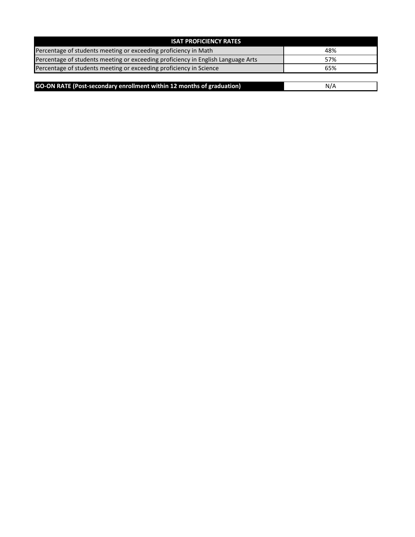| <b>ISAT PROFICIENCY RATES</b>                                                    |     |
|----------------------------------------------------------------------------------|-----|
| Percentage of students meeting or exceeding proficiency in Math                  | 48% |
| Percentage of students meeting or exceeding proficiency in English Language Arts | 57% |
| Percentage of students meeting or exceeding proficiency in Science               | 65% |

| GO-ON RATE (Post-secondary enrollment within 12 months of graduation) |  |
|-----------------------------------------------------------------------|--|
|                                                                       |  |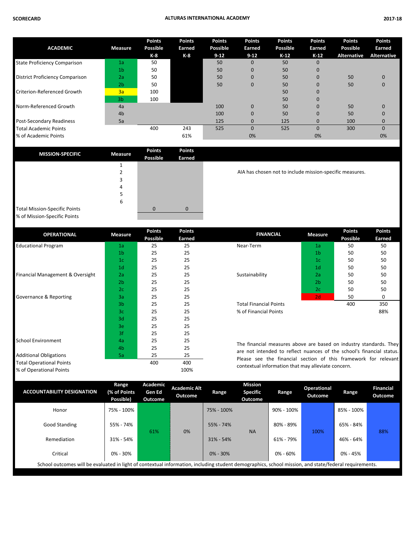| <b>ACADEMIC</b>                        | <b>Measure</b> | <b>Points</b><br>Possible | <b>Points</b><br>Earned | <b>Points</b><br>Possible | <b>Points</b><br>Earned | <b>Points</b><br>Possible | <b>Points</b><br>Earned | <b>Points</b><br>Possible | <b>Points</b><br>Earned |
|----------------------------------------|----------------|---------------------------|-------------------------|---------------------------|-------------------------|---------------------------|-------------------------|---------------------------|-------------------------|
|                                        |                | K-8                       | K-8                     | $9 - 12$                  | $9 - 12$                | $K-12$                    | $K-12$                  | <b>Alternative</b>        | <b>Alternative</b>      |
| <b>State Proficiency Comparison</b>    | 1a             | 50                        |                         | 50                        | $\mathbf{0}$            | 50                        | 0                       |                           |                         |
|                                        | 1 <sub>b</sub> | 50                        |                         | 50                        | $\mathbf{0}$            | 50                        |                         |                           |                         |
| <b>District Proficiency Comparison</b> | 2a             | 50                        |                         | 50                        | $\mathbf{0}$            | 50                        |                         | 50                        | 0                       |
|                                        | 2 <sub>b</sub> | 50                        |                         | 50                        | $\mathbf{0}$            | 50                        |                         | 50                        | $\Omega$                |
| <b>Criterion-Referenced Growth</b>     | 3a             | 100                       |                         |                           |                         | 50                        |                         |                           |                         |
|                                        | 3 <sub>b</sub> | 100                       |                         |                           |                         | 50                        |                         |                           |                         |
| Norm-Referenced Growth                 | 4a             |                           |                         | 100                       | $\mathbf{0}$            | 50                        | $\Omega$                | 50                        | $\Omega$                |
|                                        | 4 <sub>b</sub> |                           |                         | 100                       | $\mathbf{0}$            | 50                        |                         | 50                        |                         |
| Post-Secondary Readiness               | 5a             |                           |                         | 125                       | $\mathbf{0}$            | 125                       | 0                       | 100                       |                         |
| <b>Total Academic Points</b>           |                | 400                       | 243                     | 525                       | $\Omega$                | 525                       | $\Omega$                | 300                       | $\Omega$                |
| % of Academic Points                   |                |                           | 61%                     |                           | 0%                      |                           | 0%                      |                           | 0%                      |

| <b>MISSION-SPECIFIC</b>              | <b>Measure</b> | <b>Points</b><br><b>Possible</b> | <b>Points</b><br><b>Earned</b> |
|--------------------------------------|----------------|----------------------------------|--------------------------------|
|                                      |                |                                  |                                |
|                                      | 2              |                                  |                                |
|                                      | 3              |                                  |                                |
|                                      | 4              |                                  |                                |
|                                      | 5              |                                  |                                |
|                                      | 6              |                                  |                                |
| <b>Total Mission-Specific Points</b> |                |                                  |                                |
| % of Mission-Specific Points         |                |                                  |                                |

AIA has chosen not to include mission-specific measures.

...<mark>...</mark>...<br>-

| <b>OPERATIONAL</b>               | <b>Measure</b>                   | <b>Points</b> | <b>Points</b> | <b>FINANCIAL</b>                                                      | <b>Measure</b>  | <b>Points</b> | <b>Points</b> |
|----------------------------------|----------------------------------|---------------|---------------|-----------------------------------------------------------------------|-----------------|---------------|---------------|
|                                  | <b>Possible</b><br><b>Earned</b> |               |               |                                                                       | <b>Possible</b> | <b>Earned</b> |               |
| <b>Educational Program</b>       | 1a                               | 25            | 25            | Near-Term                                                             | 1a              | 50            | 50            |
|                                  | 1 <sub>b</sub>                   | 25            | 25            |                                                                       | 1 <sub>b</sub>  | 50            | 50            |
|                                  | 1 <sub>c</sub>                   | 25            | 25            |                                                                       | 1 <sub>c</sub>  | 50            | 50            |
|                                  | 1 <sub>d</sub>                   | 25            | 25            |                                                                       | 1 <sub>d</sub>  | 50            | 50            |
| Financial Management & Oversight | 2a                               | 25            | 25            | Sustainability                                                        | 2a              | 50            | 50            |
|                                  | 2 <sub>b</sub>                   | 25            | 25            |                                                                       | 2 <sub>b</sub>  | 50            | 50            |
|                                  | 2 <sub>c</sub>                   | 25            | 25            |                                                                       | 2c              | 50            | 50            |
| Governance & Reporting           | 3a                               | 25            | 25            |                                                                       | 2d              | 50            | 0             |
|                                  | 3 <sub>b</sub>                   | 25            | 25            | <b>Total Financial Points</b>                                         |                 | 400           | 350           |
|                                  | 3c                               | 25            | 25            | % of Financial Points                                                 |                 |               | 88%           |
|                                  | 3d                               | 25            | 25            |                                                                       |                 |               |               |
|                                  | 3e                               | 25            | 25            |                                                                       |                 |               |               |
|                                  | Зf                               | 25            | 25            |                                                                       |                 |               |               |
| <b>School Environment</b>        | 4a                               | 25            | 25            | The financial measures above are based on industry standards. They    |                 |               |               |
|                                  | 4 <sub>b</sub>                   | 25            | 25            | are not intended to reflect nuances of the school's financial status. |                 |               |               |
| <b>Additional Obligations</b>    | 5a                               | 25            | 25            | Please see the financial section of this framework for relevant       |                 |               |               |
| <b>Total Operational Points</b>  |                                  | 400           | 400           |                                                                       |                 |               |               |
| % of Operational Points          |                                  |               | 100%          | contextual information that may alleviate concern.                    |                 |               |               |

| <b>ACCOUNTABILITY DESIGNATION</b>                                                                                                                     | Range<br>(% of Points<br>Possible) | Academic<br>Gen Ed<br><b>Outcome</b> | <b>Academic Alt</b><br>Outcome | Range         | <b>Mission</b><br><b>Specific</b><br>Outcome | Range         | <b>Operational</b><br>Outcome | Range        | <b>Financial</b><br>Outcome |
|-------------------------------------------------------------------------------------------------------------------------------------------------------|------------------------------------|--------------------------------------|--------------------------------|---------------|----------------------------------------------|---------------|-------------------------------|--------------|-----------------------------|
| Honor                                                                                                                                                 | 75% - 100%                         |                                      |                                | 75% - 100%    |                                              | 90% - 100%    |                               | 85% - 100%   |                             |
| Good Standing                                                                                                                                         | 55% - 74%                          |                                      |                                | $55\% - 74\%$ |                                              | $80\% - 89\%$ |                               | 65% - 84%    |                             |
| Remediation                                                                                                                                           | 31% - 54%                          | 61%                                  | 0%                             | $31\% - 54\%$ | <b>NA</b>                                    | 61% - 79%     | 100%                          | 46% - 64%    | 88%                         |
| Critical                                                                                                                                              | $0\% - 30\%$                       |                                      |                                | $0\% - 30\%$  |                                              | 0% - 60%      |                               | $0\% - 45\%$ |                             |
| School outcomes will be evaluated in light of contextual information, including student demographics, school mission, and state/federal requirements. |                                    |                                      |                                |               |                                              |               |                               |              |                             |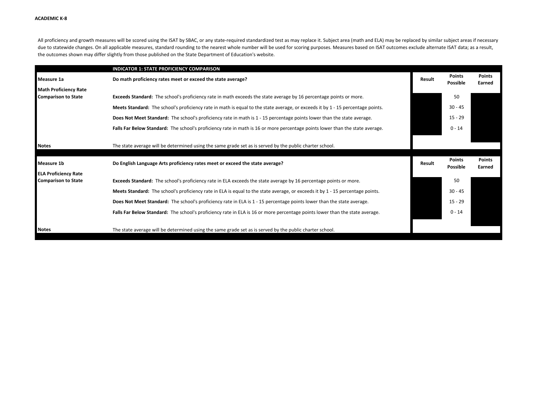All proficiency and growth measures will be scored using the ISAT by SBAC, or any state-required standardized test as may replace it. Subject area (math and ELA) may be replaced by similar subject areas if necessary due to statewide changes. On all applicable measures, standard rounding to the nearest whole number will be used for scoring purposes. Measures based on ISAT outcomes exclude alternate ISAT data; as a result, the outcomes shown may differ slightly from those published on the State Department of Education's website.

|                              | <b>INDICATOR 1: STATE PROFICIENCY COMPARISON</b>                                                                                |        |                           |                         |
|------------------------------|---------------------------------------------------------------------------------------------------------------------------------|--------|---------------------------|-------------------------|
| Measure 1a                   | Do math proficiency rates meet or exceed the state average?                                                                     | Result | <b>Points</b><br>Possible | <b>Points</b><br>Earned |
| <b>Math Proficiency Rate</b> |                                                                                                                                 |        |                           |                         |
| <b>Comparison to State</b>   | Exceeds Standard: The school's proficiency rate in math exceeds the state average by 16 percentage points or more.              |        | 50                        |                         |
|                              | Meets Standard: The school's proficiency rate in math is equal to the state average, or exceeds it by 1 - 15 percentage points. |        | $30 - 45$                 |                         |
|                              | Does Not Meet Standard: The school's proficiency rate in math is 1 - 15 percentage points lower than the state average.         |        | $15 - 29$                 |                         |
|                              | Falls Far Below Standard: The school's proficiency rate in math is 16 or more percentage points lower than the state average.   |        | $0 - 14$                  |                         |
|                              |                                                                                                                                 |        |                           |                         |
| <b>Notes</b>                 | The state average will be determined using the same grade set as is served by the public charter school.                        |        |                           |                         |
| Measure 1b                   | Do English Language Arts proficiency rates meet or exceed the state average?                                                    | Result | <b>Points</b><br>Possible | <b>Points</b><br>Earned |
| <b>ELA Proficiency Rate</b>  |                                                                                                                                 |        |                           |                         |
| <b>Comparison to State</b>   | Exceeds Standard: The school's proficiency rate in ELA exceeds the state average by 16 percentage points or more.               |        | 50                        |                         |
|                              | Meets Standard: The school's proficiency rate in ELA is equal to the state average, or exceeds it by 1 - 15 percentage points.  |        | $30 - 45$                 |                         |
|                              |                                                                                                                                 |        | $15 - 29$                 |                         |
|                              | Does Not Meet Standard: The school's proficiency rate in ELA is 1 - 15 percentage points lower than the state average.          |        |                           |                         |
|                              | Falls Far Below Standard: The school's proficiency rate in ELA is 16 or more percentage points lower than the state average.    |        | $0 - 14$                  |                         |
|                              |                                                                                                                                 |        |                           |                         |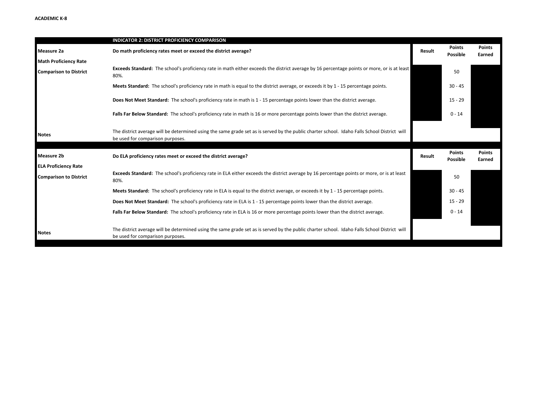|                                                  | <b>INDICATOR 2: DISTRICT PROFICIENCY COMPARISON</b>                                                                                                                              |        |                           |                         |
|--------------------------------------------------|----------------------------------------------------------------------------------------------------------------------------------------------------------------------------------|--------|---------------------------|-------------------------|
| <b>Measure 2a</b>                                | Do math proficiency rates meet or exceed the district average?                                                                                                                   | Result | <b>Points</b><br>Possible | <b>Points</b><br>Earned |
| <b>Math Proficiency Rate</b>                     |                                                                                                                                                                                  |        |                           |                         |
| <b>Comparison to District</b>                    | Exceeds Standard: The school's proficiency rate in math either exceeds the district average by 16 percentage points or more, or is at least<br>80%.                              |        | 50                        |                         |
|                                                  | Meets Standard: The school's proficiency rate in math is equal to the district average, or exceeds it by 1 - 15 percentage points.                                               |        | $30 - 45$                 |                         |
|                                                  | Does Not Meet Standard: The school's proficiency rate in math is 1 - 15 percentage points lower than the district average.                                                       |        | $15 - 29$                 |                         |
|                                                  | Falls Far Below Standard: The school's proficiency rate in math is 16 or more percentage points lower than the district average.                                                 |        | $0 - 14$                  |                         |
| <b>Notes</b>                                     | The district average will be determined using the same grade set as is served by the public charter school. Idaho Falls School District will<br>be used for comparison purposes. |        |                           |                         |
| <b>Measure 2b</b><br><b>ELA Proficiency Rate</b> | Do ELA proficiency rates meet or exceed the district average?                                                                                                                    | Result | <b>Points</b><br>Possible | <b>Points</b><br>Earned |
| <b>Comparison to District</b>                    | Exceeds Standard: The school's proficiency rate in ELA either exceeds the district average by 16 percentage points or more, or is at least<br>80%.                               |        | 50                        |                         |
|                                                  | Meets Standard: The school's proficiency rate in ELA is equal to the district average, or exceeds it by 1 - 15 percentage points.                                                |        | $30 - 45$                 |                         |
|                                                  | Does Not Meet Standard: The school's proficiency rate in ELA is 1 - 15 percentage points lower than the district average.                                                        |        | $15 - 29$                 |                         |
|                                                  | Falls Far Below Standard: The school's proficiency rate in ELA is 16 or more percentage points lower than the district average.                                                  |        | $0 - 14$                  |                         |
| <b>Notes</b>                                     | The district average will be determined using the same grade set as is served by the public charter school. Idaho Falls School District will<br>be used for comparison purposes. |        |                           |                         |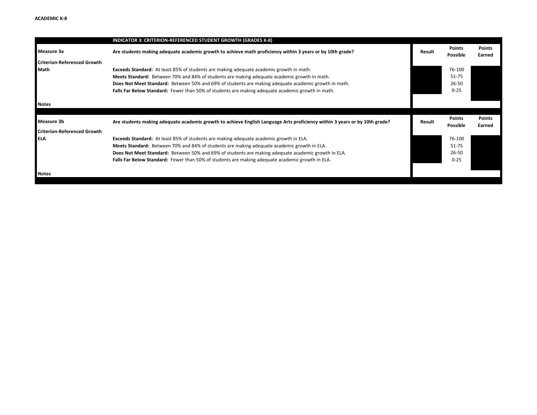|                                    | <b>INDICATOR 3: CRITERION-REFERENCED STUDENT GROWTH (GRADES K-8)</b>                                                       |               |                           |                         |
|------------------------------------|----------------------------------------------------------------------------------------------------------------------------|---------------|---------------------------|-------------------------|
| Measure 3a                         | Are students making adequate academic growth to achieve math proficiency within 3 years or by 10th grade?                  | <b>Result</b> | Points<br>Possible        | <b>Points</b><br>Earned |
| <b>Criterion-Referenced Growth</b> |                                                                                                                            |               |                           |                         |
| Math                               | Exceeds Standard: At least 85% of students are making adequate academic growth in math.                                    |               | 76-100                    |                         |
|                                    | Meets Standard: Between 70% and 84% of students are making adequate academic growth in math.                               |               | 51-75                     |                         |
|                                    | Does Not Meet Standard: Between 50% and 69% of students are making adequate academic growth in math.                       |               | 26-50                     |                         |
|                                    | Falls Far Below Standard: Fewer than 50% of students are making adequate academic growth in math.                          |               | $0 - 25$                  |                         |
| <b>Notes</b>                       |                                                                                                                            |               |                           |                         |
|                                    |                                                                                                                            |               |                           |                         |
| Measure 3b                         | Are students making adequate academic growth to achieve English Language Arts proficiency within 3 years or by 10th grade? | <b>Result</b> | <b>Points</b><br>Possible | <b>Points</b><br>Earned |
| <b>Criterion-Referenced Growth</b> |                                                                                                                            |               |                           |                         |
| <b>ELA</b>                         | <b>Exceeds Standard:</b> At least 85% of students are making adequate academic growth in ELA.                              |               | 76-100                    |                         |
|                                    | Meets Standard: Between 70% and 84% of students are making adequate academic growth in ELA.                                |               | 51-75                     |                         |
|                                    | Does Not Meet Standard: Between 50% and 69% of students are making adequate academic growth in ELA.                        |               | 26-50                     |                         |
|                                    | Falls Far Below Standard: Fewer than 50% of students are making adequate academic growth in ELA.                           |               | $0 - 25$                  |                         |
|                                    |                                                                                                                            |               |                           |                         |
| <b>Notes</b>                       |                                                                                                                            |               |                           |                         |
|                                    |                                                                                                                            |               |                           |                         |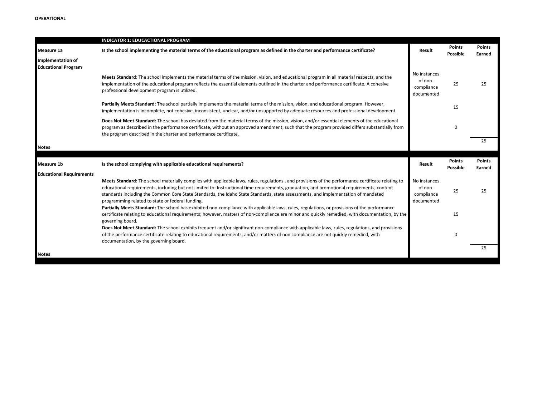|                                                        | <b>INDICATOR 1: EDUCACTIONAL PROGRAM</b>                                                                                                                                                                                                                                                                                                                                                                                                                                                  |                                                     |                           |                         |
|--------------------------------------------------------|-------------------------------------------------------------------------------------------------------------------------------------------------------------------------------------------------------------------------------------------------------------------------------------------------------------------------------------------------------------------------------------------------------------------------------------------------------------------------------------------|-----------------------------------------------------|---------------------------|-------------------------|
| Measure 1a                                             | Is the school implementing the material terms of the educational program as defined in the charter and performance certificate?                                                                                                                                                                                                                                                                                                                                                           | Result                                              | <b>Points</b><br>Possible | Points<br>Earned        |
| <b>Implementation of</b><br><b>Educational Program</b> |                                                                                                                                                                                                                                                                                                                                                                                                                                                                                           |                                                     |                           |                         |
|                                                        | Meets Standard: The school implements the material terms of the mission, vision, and educational program in all material respects, and the<br>implementation of the educational program reflects the essential elements outlined in the charter and performance certificate. A cohesive<br>professional development program is utilized.                                                                                                                                                  | No instances<br>of non-<br>compliance<br>documented | 25                        | 25                      |
|                                                        | Partially Meets Standard: The school partially implements the material terms of the mission, vision, and educational program. However,<br>implementation is incomplete, not cohesive, inconsistent, unclear, and/or unsupported by adequate resources and professional development.                                                                                                                                                                                                       |                                                     | 15                        |                         |
|                                                        | Does Not Meet Standard: The school has deviated from the material terms of the mission, vision, and/or essential elements of the educational<br>program as described in the performance certificate, without an approved amendment, such that the program provided differs substantially from<br>the program described in the charter and performance certificate.                                                                                                                        |                                                     | $\Omega$                  |                         |
| <b>Notes</b>                                           |                                                                                                                                                                                                                                                                                                                                                                                                                                                                                           |                                                     |                           | 25                      |
|                                                        |                                                                                                                                                                                                                                                                                                                                                                                                                                                                                           |                                                     |                           |                         |
| Measure 1b                                             | Is the school complying with applicable educational requirements?                                                                                                                                                                                                                                                                                                                                                                                                                         | Result                                              | Points<br>Possible        | <b>Points</b><br>Earned |
| <b>Educational Requirements</b>                        |                                                                                                                                                                                                                                                                                                                                                                                                                                                                                           |                                                     |                           |                         |
|                                                        | Meets Standard: The school materially complies with applicable laws, rules, regulations, and provisions of the performance certificate relating to<br>educational requirements, including but not limited to: Instructional time requirements, graduation, and promotional requirements, content<br>standards including the Common Core State Standards, the Idaho State Standards, state assessments, and implementation of mandated<br>programming related to state or federal funding. | No instances<br>of non-<br>compliance<br>documented | 25                        | 25                      |
|                                                        | Partially Meets Standard: The school has exhibited non-compliance with applicable laws, rules, regulations, or provisions of the performance<br>certificate relating to educational requirements; however, matters of non-compliance are minor and quickly remedied, with documentation, by the<br>governing board.                                                                                                                                                                       |                                                     | 15                        |                         |
|                                                        | Does Not Meet Standard: The school exhibits frequent and/or significant non-compliance with applicable laws, rules, regulations, and provisions<br>of the performance certificate relating to educational requirements; and/or matters of non compliance are not quickly remedied, with<br>documentation, by the governing board.                                                                                                                                                         |                                                     | 0                         |                         |
| <b>Notes</b>                                           |                                                                                                                                                                                                                                                                                                                                                                                                                                                                                           |                                                     |                           | 25                      |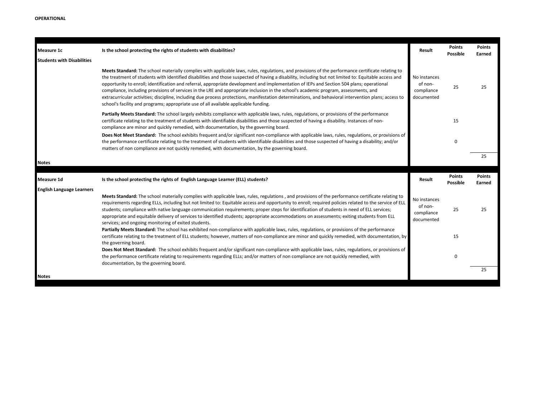| Measure 1c                        | Is the school protecting the rights of students with disabilities?                                                                                                                                                                                                                                                                                                                                                                                                                                                                                                                                                                                                                                                                                                                                                                                | Result                                              | <b>Points</b><br>Possible | <b>Points</b><br>Earned |
|-----------------------------------|---------------------------------------------------------------------------------------------------------------------------------------------------------------------------------------------------------------------------------------------------------------------------------------------------------------------------------------------------------------------------------------------------------------------------------------------------------------------------------------------------------------------------------------------------------------------------------------------------------------------------------------------------------------------------------------------------------------------------------------------------------------------------------------------------------------------------------------------------|-----------------------------------------------------|---------------------------|-------------------------|
| <b>Students with Disabilities</b> |                                                                                                                                                                                                                                                                                                                                                                                                                                                                                                                                                                                                                                                                                                                                                                                                                                                   |                                                     |                           |                         |
|                                   | Meets Standard: The school materially complies with applicable laws, rules, regulations, and provisions of the performance certificate relating to<br>the treatment of students with identified disabilities and those suspected of having a disability, including but not limited to: Equitable access and<br>opportunity to enroll; identification and referral, appropriate development and implementation of IEPs and Section 504 plans; operational<br>compliance, including provisions of services in the LRE and appropriate inclusion in the school's academic program, assessments, and<br>extracurricular activities; discipline, including due process protections, manifestation determinations, and behavioral intervention plans; access to<br>school's facility and programs; appropriate use of all available applicable funding. | No instances<br>of non-<br>compliance<br>documented | 25                        | 25                      |
|                                   | Partially Meets Standard: The school largely exhibits compliance with applicable laws, rules, regulations, or provisions of the performance<br>certificate relating to the treatment of students with identifiable disabilities and those suspected of having a disability. Instances of non-<br>compliance are minor and quickly remedied, with documentation, by the governing board.                                                                                                                                                                                                                                                                                                                                                                                                                                                           |                                                     | 15                        |                         |
|                                   | Does Not Meet Standard: The school exhibits frequent and/or significant non-compliance with applicable laws, rules, regulations, or provisions of<br>the performance certificate relating to the treatment of students with identifiable disabilities and those suspected of having a disability; and/or<br>matters of non compliance are not quickly remedied, with documentation, by the governing board.                                                                                                                                                                                                                                                                                                                                                                                                                                       |                                                     | 0                         |                         |
| <b>Notes</b>                      |                                                                                                                                                                                                                                                                                                                                                                                                                                                                                                                                                                                                                                                                                                                                                                                                                                                   |                                                     |                           | 25                      |
| <b>Measure 1d</b>                 | Is the school protecting the rights of English Language Learner (ELL) students?                                                                                                                                                                                                                                                                                                                                                                                                                                                                                                                                                                                                                                                                                                                                                                   | Result                                              | Points<br>Possible        | Points<br>Earned        |
| <b>English Language Learners</b>  | Meets Standard: The school materially complies with applicable laws, rules, regulations, and provisions of the performance certificate relating to<br>requirements regarding ELLs, including but not limited to: Equitable access and opportunity to enroll; required policies related to the service of ELL<br>students; compliance with native language communication requirements; proper steps for identification of students in need of ELL services;<br>appropriate and equitable delivery of services to identified students; appropriate accommodations on assessments; exiting students from ELL<br>services; and ongoing monitoring of exited students.                                                                                                                                                                                 | No instances<br>of non-<br>compliance<br>documented | 25                        | 25                      |
|                                   | Partially Meets Standard: The school has exhibited non-compliance with applicable laws, rules, regulations, or provisions of the performance<br>certificate relating to the treatment of ELL students; however, matters of non-compliance are minor and quickly remedied, with documentation, by<br>the governing board.                                                                                                                                                                                                                                                                                                                                                                                                                                                                                                                          |                                                     | 15                        |                         |
|                                   | Does Not Meet Standard: The school exhibits frequent and/or significant non-compliance with applicable laws, rules, regulations, or provisions of<br>the performance certificate relating to requirements regarding ELLs; and/or matters of non compliance are not quickly remedied, with<br>documentation, by the governing board.                                                                                                                                                                                                                                                                                                                                                                                                                                                                                                               |                                                     | 0                         |                         |
|                                   |                                                                                                                                                                                                                                                                                                                                                                                                                                                                                                                                                                                                                                                                                                                                                                                                                                                   |                                                     |                           | 25                      |
| <b>Notes</b>                      |                                                                                                                                                                                                                                                                                                                                                                                                                                                                                                                                                                                                                                                                                                                                                                                                                                                   |                                                     |                           |                         |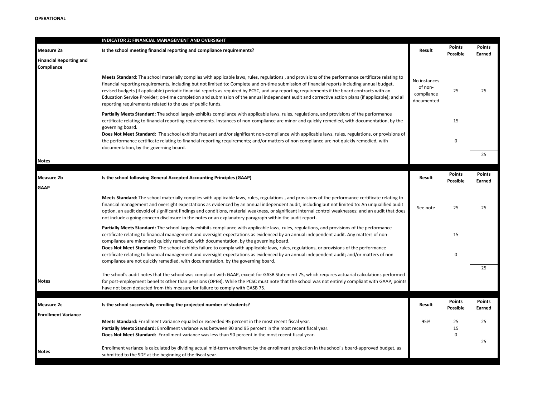|                                              | <b>INDICATOR 2: FINANCIAL MANAGEMENT AND OVERSIGHT</b>                                                                                                                                                                                                                                                                                                                                                                                                                                                                                                                                                                                                                   |                                                     |                                  |                         |
|----------------------------------------------|--------------------------------------------------------------------------------------------------------------------------------------------------------------------------------------------------------------------------------------------------------------------------------------------------------------------------------------------------------------------------------------------------------------------------------------------------------------------------------------------------------------------------------------------------------------------------------------------------------------------------------------------------------------------------|-----------------------------------------------------|----------------------------------|-------------------------|
| Measure 2a                                   | Is the school meeting financial reporting and compliance requirements?                                                                                                                                                                                                                                                                                                                                                                                                                                                                                                                                                                                                   | Result                                              | <b>Points</b><br><b>Possible</b> | <b>Points</b><br>Earned |
| <b>Financial Reporting and</b><br>Compliance |                                                                                                                                                                                                                                                                                                                                                                                                                                                                                                                                                                                                                                                                          |                                                     |                                  |                         |
|                                              | Meets Standard: The school materially complies with applicable laws, rules, regulations, and provisions of the performance certificate relating to<br>financial reporting requirements, including but not limited to: Complete and on-time submission of financial reports including annual budget,<br>revised budgets (if applicable) periodic financial reports as required by PCSC, and any reporting requirements if the board contracts with an<br>Education Service Provider; on-time completion and submission of the annual independent audit and corrective action plans (if applicable); and all<br>reporting requirements related to the use of public funds. | No instances<br>of non-<br>compliance<br>documented | 25                               | 25                      |
|                                              | Partially Meets Standard: The school largely exhibits compliance with applicable laws, rules, regulations, and provisions of the performance<br>certificate relating to financial reporting requirements. Instances of non-compliance are minor and quickly remedied, with documentation, by the<br>governing board.                                                                                                                                                                                                                                                                                                                                                     |                                                     | 15                               |                         |
|                                              | Does Not Meet Standard: The school exhibits frequent and/or significant non-compliance with applicable laws, rules, regulations, or provisions of<br>the performance certificate relating to financial reporting requirements; and/or matters of non compliance are not quickly remedied, with<br>documentation, by the governing board.                                                                                                                                                                                                                                                                                                                                 |                                                     | $\mathbf 0$                      |                         |
| <b>Notes</b>                                 |                                                                                                                                                                                                                                                                                                                                                                                                                                                                                                                                                                                                                                                                          |                                                     |                                  | 25                      |
|                                              |                                                                                                                                                                                                                                                                                                                                                                                                                                                                                                                                                                                                                                                                          |                                                     | <b>Points</b>                    | <b>Points</b>           |
| Measure 2b                                   | Is the school following General Accepted Accounting Principles (GAAP)                                                                                                                                                                                                                                                                                                                                                                                                                                                                                                                                                                                                    | Result                                              | <b>Possible</b>                  | Earned                  |
| <b>GAAP</b>                                  |                                                                                                                                                                                                                                                                                                                                                                                                                                                                                                                                                                                                                                                                          |                                                     |                                  |                         |
|                                              | Meets Standard: The school materially complies with applicable laws, rules, regulations, and provisions of the performance certificate relating to<br>financial management and oversight expectations as evidenced by an annual independent audit, including but not limited to: An unqualified audit<br>option, an audit devoid of significant findings and conditions, material weakness, or significant internal control weaknesses; and an audit that does<br>not include a going concern disclosure in the notes or an explanatory paragraph within the audit report.                                                                                               | See note                                            | 25                               | 25                      |
|                                              | Partially Meets Standard: The school largely exhibits compliance with applicable laws, rules, regulations, and provisions of the performance<br>certificate relating to financial management and oversight expectations as evidenced by an annual independent audit. Any matters of non-<br>compliance are minor and quickly remedied, with documentation, by the governing board.                                                                                                                                                                                                                                                                                       |                                                     | 15                               |                         |
|                                              | Does Not Meet Standard: The school exhibits failure to comply with applicable laws, rules, regulations, or provisions of the performance<br>certificate relating to financial management and oversight expectations as evidenced by an annual independent audit; and/or matters of non<br>compliance are not quickly remedied, with documentation, by the governing board.                                                                                                                                                                                                                                                                                               |                                                     | $\pmb{0}$                        |                         |
|                                              |                                                                                                                                                                                                                                                                                                                                                                                                                                                                                                                                                                                                                                                                          |                                                     |                                  | 25                      |
| Notes                                        | The school's audit notes that the school was compliant with GAAP, except for GASB Statement 75, which requires actuarial calculations performed<br>for post-employment benefits other than pensions (OPEB). While the PCSC must note that the school was not entirely compliant with GAAP, points<br>have not been deducted from this measure for failure to comply with GASB 75.                                                                                                                                                                                                                                                                                        |                                                     |                                  |                         |
|                                              |                                                                                                                                                                                                                                                                                                                                                                                                                                                                                                                                                                                                                                                                          |                                                     | <b>Points</b>                    | <b>Points</b>           |
| Measure 2c                                   | Is the school successfully enrolling the projected number of students?                                                                                                                                                                                                                                                                                                                                                                                                                                                                                                                                                                                                   | Result                                              | <b>Possible</b>                  | Earned                  |
| <b>Enrollment Variance</b>                   |                                                                                                                                                                                                                                                                                                                                                                                                                                                                                                                                                                                                                                                                          |                                                     |                                  |                         |
|                                              | Meets Standard: Enrollment variance equaled or exceeded 95 percent in the most recent fiscal year.<br>Partially Meets Standard: Enrollment variance was between 90 and 95 percent in the most recent fiscal year.                                                                                                                                                                                                                                                                                                                                                                                                                                                        | 95%                                                 | 25<br>15                         | 25                      |
|                                              | Does Not Meet Standard: Enrollment variance was less than 90 percent in the most recent fiscal year.                                                                                                                                                                                                                                                                                                                                                                                                                                                                                                                                                                     |                                                     | $\mathbf 0$                      |                         |
|                                              |                                                                                                                                                                                                                                                                                                                                                                                                                                                                                                                                                                                                                                                                          |                                                     |                                  | 25                      |
| Notes                                        | Enrollment variance is calculated by dividing actual mid-term enrollment by the enrollment projection in the school's board-approved budget, as<br>submitted to the SDE at the beginning of the fiscal year.                                                                                                                                                                                                                                                                                                                                                                                                                                                             |                                                     |                                  |                         |
|                                              |                                                                                                                                                                                                                                                                                                                                                                                                                                                                                                                                                                                                                                                                          |                                                     |                                  |                         |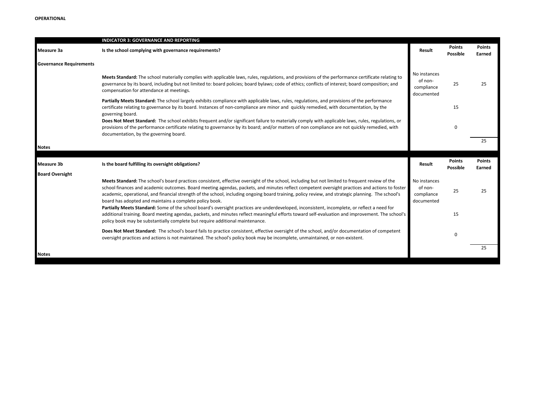|                                | <b>INDICATOR 3: GOVERNANCE AND REPORTING</b>                                                                                                                                                                                                                                                                                                                                                                                                                                                                       |                                                     |                           |                         |
|--------------------------------|--------------------------------------------------------------------------------------------------------------------------------------------------------------------------------------------------------------------------------------------------------------------------------------------------------------------------------------------------------------------------------------------------------------------------------------------------------------------------------------------------------------------|-----------------------------------------------------|---------------------------|-------------------------|
| Measure 3a                     | Is the school complying with governance requirements?                                                                                                                                                                                                                                                                                                                                                                                                                                                              | Result                                              | <b>Points</b><br>Possible | <b>Points</b><br>Earned |
| <b>Governance Requirements</b> |                                                                                                                                                                                                                                                                                                                                                                                                                                                                                                                    |                                                     |                           |                         |
|                                | Meets Standard: The school materially complies with applicable laws, rules, regulations, and provisions of the performance certificate relating to<br>governance by its board, including but not limited to: board policies; board bylaws; code of ethics; conflicts of interest; board composition; and<br>compensation for attendance at meetings.                                                                                                                                                               | No instances<br>of non-<br>compliance<br>documented | 25                        | 25                      |
|                                | Partially Meets Standard: The school largely exhibits compliance with applicable laws, rules, regulations, and provisions of the performance<br>certificate relating to governance by its board. Instances of non-compliance are minor and quickly remedied, with documentation, by the<br>governing board.                                                                                                                                                                                                        |                                                     | 15                        |                         |
|                                | Does Not Meet Standard: The school exhibits frequent and/or significant failure to materially comply with applicable laws, rules, regulations, or<br>provisions of the performance certificate relating to governance by its board; and/or matters of non compliance are not quickly remedied, with<br>documentation, by the governing board.                                                                                                                                                                      |                                                     | 0                         |                         |
|                                |                                                                                                                                                                                                                                                                                                                                                                                                                                                                                                                    |                                                     |                           | 25                      |
| <b>Notes</b>                   |                                                                                                                                                                                                                                                                                                                                                                                                                                                                                                                    |                                                     |                           |                         |
|                                |                                                                                                                                                                                                                                                                                                                                                                                                                                                                                                                    |                                                     |                           |                         |
| <b>Measure 3b</b>              | Is the board fulfilling its oversight obligations?                                                                                                                                                                                                                                                                                                                                                                                                                                                                 | Result                                              | <b>Points</b><br>Possible | <b>Points</b><br>Earned |
| <b>Board Oversight</b>         |                                                                                                                                                                                                                                                                                                                                                                                                                                                                                                                    |                                                     |                           |                         |
|                                | Meets Standard: The school's board practices consistent, effective oversight of the school, including but not limited to frequent review of the<br>school finances and academic outcomes. Board meeting agendas, packets, and minutes reflect competent oversight practices and actions to foster<br>academic, operational, and financial strength of the school, including ongoing board training, policy review, and strategic planning. The school's<br>board has adopted and maintains a complete policy book. | No instances<br>of non-<br>compliance<br>documented | 25                        | 25                      |
|                                | Partially Meets Standard: Some of the school board's oversight practices are underdeveloped, inconsistent, incomplete, or reflect a need for<br>additional training. Board meeting agendas, packets, and minutes reflect meaningful efforts toward self-evaluation and improvement. The school's<br>policy book may be substantially complete but require additional maintenance.                                                                                                                                  |                                                     | 15                        |                         |
|                                | Does Not Meet Standard: The school's board fails to practice consistent, effective oversight of the school, and/or documentation of competent<br>oversight practices and actions is not maintained. The school's policy book may be incomplete, unmaintained, or non-existent.                                                                                                                                                                                                                                     |                                                     | 0                         |                         |
| <b>Notes</b>                   |                                                                                                                                                                                                                                                                                                                                                                                                                                                                                                                    |                                                     |                           | 25                      |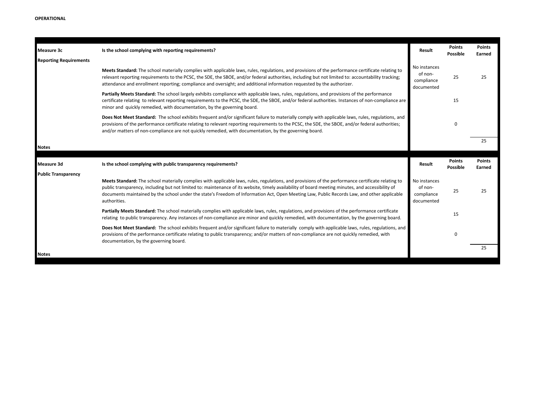| Measure 3c                    | Is the school complying with reporting requirements?                                                                                                                                                                                                                                                                                                                                                                                                                   | Result                                              | <b>Points</b><br><b>Possible</b> | <b>Points</b><br>Earned |
|-------------------------------|------------------------------------------------------------------------------------------------------------------------------------------------------------------------------------------------------------------------------------------------------------------------------------------------------------------------------------------------------------------------------------------------------------------------------------------------------------------------|-----------------------------------------------------|----------------------------------|-------------------------|
| <b>Reporting Requirements</b> |                                                                                                                                                                                                                                                                                                                                                                                                                                                                        |                                                     |                                  |                         |
|                               | Meets Standard: The school materially complies with applicable laws, rules, regulations, and provisions of the performance certificate relating to<br>relevant reporting requirements to the PCSC, the SDE, the SBOE, and/or federal authorities, including but not limited to: accountability tracking;<br>attendance and enrollment reporting; compliance and oversight; and additional information requested by the authorizer.                                     | No instances<br>of non-<br>compliance<br>documented | 25                               | 25                      |
|                               | Partially Meets Standard: The school largely exhibits compliance with applicable laws, rules, regulations, and provisions of the performance<br>certificate relating to relevant reporting requirements to the PCSC, the SDE, the SBOE, and/or federal authorities. Instances of non-compliance are<br>minor and quickly remedied, with documentation, by the governing board.                                                                                         |                                                     | 15                               |                         |
|                               | Does Not Meet Standard: The school exhibits frequent and/or significant failure to materially comply with applicable laws, rules, regulations, and<br>provisions of the performance certificate relating to relevant reporting requirements to the PCSC, the SDE, the SBOE, and/or federal authorities;<br>and/or matters of non-compliance are not quickly remedied, with documentation, by the governing board.                                                      |                                                     | 0                                |                         |
|                               |                                                                                                                                                                                                                                                                                                                                                                                                                                                                        |                                                     |                                  | 25                      |
| <b>Notes</b>                  |                                                                                                                                                                                                                                                                                                                                                                                                                                                                        |                                                     |                                  |                         |
|                               |                                                                                                                                                                                                                                                                                                                                                                                                                                                                        |                                                     |                                  |                         |
| Measure 3d                    | Is the school complying with public transparency requirements?                                                                                                                                                                                                                                                                                                                                                                                                         | Result                                              | <b>Points</b><br>Possible        | <b>Points</b><br>Earned |
| <b>Public Transparency</b>    |                                                                                                                                                                                                                                                                                                                                                                                                                                                                        |                                                     |                                  |                         |
|                               | Meets Standard: The school materially complies with applicable laws, rules, regulations, and provisions of the performance certificate relating to<br>public transparency, including but not limited to: maintenance of its website, timely availability of board meeting minutes, and accessibility of<br>documents maintained by the school under the state's Freedom of Information Act, Open Meeting Law, Public Records Law, and other applicable<br>authorities. | No instances<br>of non-<br>compliance<br>documented | 25                               | 25                      |
|                               | Partially Meets Standard: The school materially complies with applicable laws, rules, regulations, and provisions of the performance certificate<br>relating to public transparency. Any instances of non-compliance are minor and quickly remedied, with documentation, by the governing board.                                                                                                                                                                       |                                                     | 15                               |                         |
|                               | Does Not Meet Standard: The school exhibits frequent and/or significant failure to materially comply with applicable laws, rules, regulations, and<br>provisions of the performance certificate relating to public transparency; and/or matters of non-compliance are not quickly remedied, with<br>documentation, by the governing board.                                                                                                                             |                                                     | 0                                |                         |
| <b>Notes</b>                  |                                                                                                                                                                                                                                                                                                                                                                                                                                                                        |                                                     |                                  | 25                      |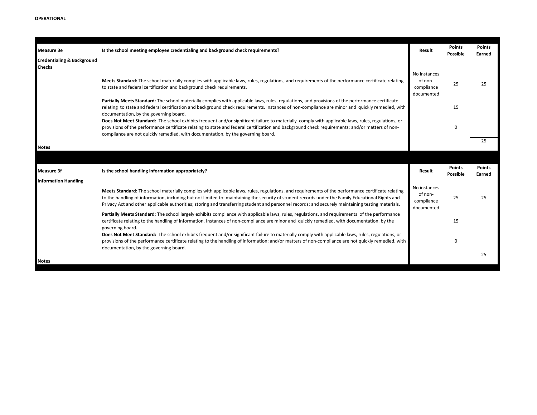| <b>Measure 3e</b>                                      | Is the school meeting employee credentialing and background check requirements?                                                                                                                                                                                                                                                                                                                                                                             | Result                                              | <b>Points</b><br>Possible | <b>Points</b><br>Earned |
|--------------------------------------------------------|-------------------------------------------------------------------------------------------------------------------------------------------------------------------------------------------------------------------------------------------------------------------------------------------------------------------------------------------------------------------------------------------------------------------------------------------------------------|-----------------------------------------------------|---------------------------|-------------------------|
| <b>Credentialing &amp; Background</b><br><b>Checks</b> |                                                                                                                                                                                                                                                                                                                                                                                                                                                             |                                                     |                           |                         |
|                                                        | Meets Standard: The school materially complies with applicable laws, rules, regulations, and requirements of the performance certificate relating<br>to state and federal certification and background check requirements.                                                                                                                                                                                                                                  | No instances<br>of non-<br>compliance<br>documented | 25                        | 25                      |
|                                                        | Partially Meets Standard: The school materially complies with applicable laws, rules, regulations, and provisions of the performance certificate<br>relating to state and federal certification and background check requirements. Instances of non-compliance are minor and quickly remedied, with<br>documentation, by the governing board.                                                                                                               |                                                     | 15                        |                         |
|                                                        | Does Not Meet Standard: The school exhibits frequent and/or significant failure to materially comply with applicable laws, rules, regulations, or<br>provisions of the performance certificate relating to state and federal certification and background check requirements; and/or matters of non-<br>compliance are not quickly remedied, with documentation, by the governing board.                                                                    |                                                     | 0                         |                         |
| <b>Notes</b>                                           |                                                                                                                                                                                                                                                                                                                                                                                                                                                             |                                                     |                           | 25                      |
|                                                        |                                                                                                                                                                                                                                                                                                                                                                                                                                                             |                                                     |                           |                         |
| <b>Measure 3f</b>                                      | Is the school handling information appropriately?                                                                                                                                                                                                                                                                                                                                                                                                           | Result                                              | <b>Points</b><br>Possible | <b>Points</b><br>Earned |
| <b>Information Handling</b>                            | Meets Standard: The school materially complies with applicable laws, rules, regulations, and requirements of the performance certificate relating<br>to the handling of information, including but not limited to: maintaining the security of student records under the Family Educational Rights and<br>Privacy Act and other applicable authorities; storing and transferring student and personnel records; and securely maintaining testing materials. | No instances<br>of non-<br>compliance<br>documented | 25                        | 25                      |
|                                                        | Partially Meets Standard: The school largely exhibits compliance with applicable laws, rules, regulations, and requirements of the performance<br>certificate relating to the handling of information. Instances of non-compliance are minor and quickly remedied, with documentation, by the<br>governing board.                                                                                                                                           |                                                     | 15                        |                         |
|                                                        | Does Not Meet Standard: The school exhibits frequent and/or significant failure to materially comply with applicable laws, rules, regulations, or<br>provisions of the performance certificate relating to the handling of information; and/or matters of non-compliance are not quickly remedied, with<br>documentation, by the governing board.                                                                                                           |                                                     | 0                         |                         |
| <b>Notes</b>                                           |                                                                                                                                                                                                                                                                                                                                                                                                                                                             |                                                     |                           | 25                      |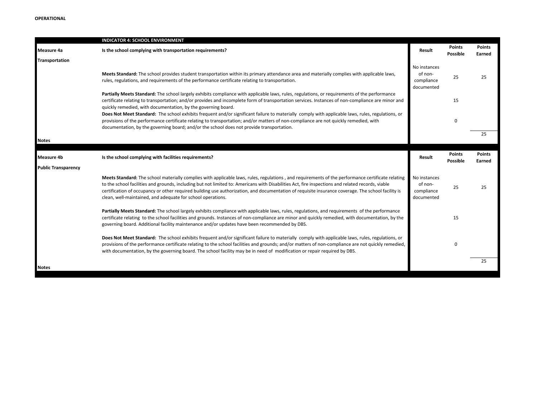|                            | INDICATOR 4: SCHOOL ENVIRONMENT                                                                                                                                                                                                                                                                                                                                                                                                                                                                                             |                                                     |                           |                         |
|----------------------------|-----------------------------------------------------------------------------------------------------------------------------------------------------------------------------------------------------------------------------------------------------------------------------------------------------------------------------------------------------------------------------------------------------------------------------------------------------------------------------------------------------------------------------|-----------------------------------------------------|---------------------------|-------------------------|
| Measure 4a                 | Is the school complying with transportation requirements?                                                                                                                                                                                                                                                                                                                                                                                                                                                                   | Result                                              | Points<br>Possible        | <b>Points</b><br>Earned |
| Transportation             |                                                                                                                                                                                                                                                                                                                                                                                                                                                                                                                             |                                                     |                           |                         |
|                            | Meets Standard: The school provides student transportation within its primary attendance area and materially complies with applicable laws,<br>rules, regulations, and requirements of the performance certificate relating to transportation.                                                                                                                                                                                                                                                                              | No instances<br>of non-<br>compliance<br>documented | 25                        | 25                      |
|                            | Partially Meets Standard: The school largely exhibits compliance with applicable laws, rules, regulations, or requirements of the performance<br>certificate relating to transportation; and/or provides and incomplete form of transportation services. Instances of non-compliance are minor and<br>quickly remedied, with documentation, by the governing board.                                                                                                                                                         |                                                     | 15                        |                         |
|                            | Does Not Meet Standard: The school exhibits frequent and/or significant failure to materially comply with applicable laws, rules, regulations, or<br>provisions of the performance certificate relating to transportation; and/or matters of non-compliance are not quickly remedied, with<br>documentation, by the governing board; and/or the school does not provide transportation.                                                                                                                                     |                                                     | $\mathbf 0$               |                         |
| <b>Notes</b>               |                                                                                                                                                                                                                                                                                                                                                                                                                                                                                                                             |                                                     |                           | 25                      |
|                            |                                                                                                                                                                                                                                                                                                                                                                                                                                                                                                                             |                                                     |                           |                         |
| <b>Measure 4b</b>          | Is the school complying with facilities requirements?                                                                                                                                                                                                                                                                                                                                                                                                                                                                       | Result                                              | <b>Points</b><br>Possible | <b>Points</b><br>Earned |
| <b>Public Transparency</b> |                                                                                                                                                                                                                                                                                                                                                                                                                                                                                                                             |                                                     |                           |                         |
|                            | Meets Standard: The school materially complies with applicable laws, rules, regulations, and requirements of the performance certificate relating<br>to the school facilities and grounds, including but not limited to: Americans with Disabilities Act, fire inspections and related records, viable<br>certification of occupancy or other required building use authorization, and documentation of requisite insurance coverage. The school facility is<br>clean, well-maintained, and adequate for school operations. | No instances<br>of non-<br>compliance<br>documented | 25                        | 25                      |
|                            | Partially Meets Standard: The school largely exhibits compliance with applicable laws, rules, regulations, and requirements of the performance<br>certificate relating to the school facilities and grounds. Instances of non-compliance are minor and quickly remedied, with documentation, by the<br>governing board. Additional facility maintenance and/or updates have been recommended by DBS.                                                                                                                        |                                                     | 15                        |                         |
|                            | Does Not Meet Standard: The school exhibits frequent and/or significant failure to materially comply with applicable laws, rules, regulations, or<br>provisions of the performance certificate relating to the school facilities and grounds; and/or matters of non-compliance are not quickly remedied,<br>with documentation, by the governing board. The school facility may be in need of modification or repair required by DBS.                                                                                       |                                                     | $\mathbf 0$               |                         |
| <b>Notes</b>               |                                                                                                                                                                                                                                                                                                                                                                                                                                                                                                                             |                                                     |                           | 25                      |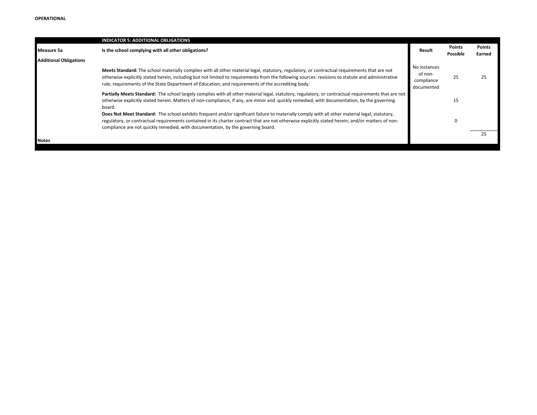|                               | <b>INDICATOR 5: ADDITIONAL OBLIGATIONS</b>                                                                                                                                                                                                                                                                                                                                                               |                                                     |                           |                         |
|-------------------------------|----------------------------------------------------------------------------------------------------------------------------------------------------------------------------------------------------------------------------------------------------------------------------------------------------------------------------------------------------------------------------------------------------------|-----------------------------------------------------|---------------------------|-------------------------|
| Measure 5a                    | Is the school complying with all other obligations?                                                                                                                                                                                                                                                                                                                                                      | Result                                              | <b>Points</b><br>Possible | <b>Points</b><br>Earned |
| <b>Additional Obligations</b> |                                                                                                                                                                                                                                                                                                                                                                                                          |                                                     |                           |                         |
|                               | Meets Standard: The school materially complies with all other material legal, statutory, regulatory, or contractual requirements that are not<br>otherwise explicitly stated herein, including but not limited to requirements from the following sources: revisions to statute and administrative<br>rule; requirements of the State Department of Education; and requirements of the accrediting body. | No instances<br>of non-<br>compliance<br>documented | 25                        | 25                      |
|                               | Partially Meets Standard: The school largely complies with all other material legal, statutory, regulatory, or contractual requirements that are not<br>otherwise explicitly stated herein. Matters of non-compliance, if any, are minor and quickly remedied, with documentation, by the governing<br>board.                                                                                            |                                                     | 15                        |                         |
|                               | Does Not Meet Standard: The school exhibits frequent and/or significant failure to materially comply with all other material legal, statutory,<br>regulatory, or contractual requirements contained in its charter contract that are not otherwise explicitly stated herein; and/or matters of non-<br>compliance are not quickly remedied, with documentation, by the governing board.                  |                                                     | 0                         |                         |
| <b>Notes</b>                  |                                                                                                                                                                                                                                                                                                                                                                                                          |                                                     |                           | 25                      |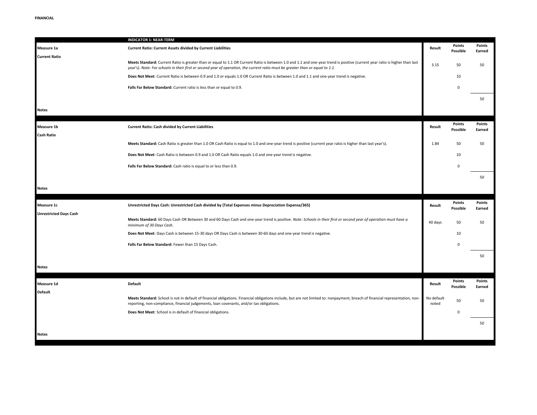|                               | <b>INDICATOR 1: NEAR-TERM</b>                                                                                                                                                                                                                                                                                  |                     |                    |                  |
|-------------------------------|----------------------------------------------------------------------------------------------------------------------------------------------------------------------------------------------------------------------------------------------------------------------------------------------------------------|---------------------|--------------------|------------------|
| Measure 1a                    | <b>Current Ratio: Current Assets divided by Current Liabilities</b>                                                                                                                                                                                                                                            | Result              | Points<br>Possible | Points<br>Earned |
| <b>Current Ratio</b>          | Meets Standard: Current Ratio is greater than or equal to 1.1 OR Current Ratio is between 1.0 and 1.1 and one-year trend is positive (current year ratio is higher than last<br>year's). Note: For schools in their first or second year of operation, the current ratio must be greater than or equal to 1.1. | 3.15                | 50                 | 50               |
|                               | Does Not Meet: Current Ratio is between 0.9 and 1.0 or equals 1.0 OR Current Ratio is between 1.0 and 1.1 and one-year trend is negative.                                                                                                                                                                      |                     | 10                 |                  |
|                               | Falls Far Below Standard: Current ratio is less than or equal to 0.9.                                                                                                                                                                                                                                          |                     | $\Omega$           |                  |
|                               |                                                                                                                                                                                                                                                                                                                |                     |                    | 50               |
| <b>Notes</b>                  |                                                                                                                                                                                                                                                                                                                |                     |                    |                  |
| Measure 1b                    | Current Ratio: Cash divided by Current Liabilities                                                                                                                                                                                                                                                             | Result              | Points<br>Possible | Points<br>Earned |
| <b>Cash Ratio</b>             |                                                                                                                                                                                                                                                                                                                |                     |                    |                  |
|                               | Meets Standard: Cash Ratio is greater than 1.0 OR Cash Ratio is equal to 1.0 and one-year trend is positive (current year ratio is higher than last year's).                                                                                                                                                   | 1.84                | 50                 | 50               |
|                               | Does Not Meet: Cash Ratio is between 0.9 and 1.0 OR Cash Ratio equals 1.0 and one-year trend is negative.                                                                                                                                                                                                      |                     | 10                 |                  |
|                               | Falls Far Below Standard: Cash ratio is equal to or less than 0.9.                                                                                                                                                                                                                                             |                     | $\Omega$           |                  |
|                               |                                                                                                                                                                                                                                                                                                                |                     |                    | 50               |
| <b>Notes</b>                  |                                                                                                                                                                                                                                                                                                                |                     |                    |                  |
|                               |                                                                                                                                                                                                                                                                                                                |                     |                    |                  |
| <b>Measure 1c</b>             | Unrestricted Days Cash: Unrestricted Cash divided by (Total Expenses minus Depreciation Expense/365)                                                                                                                                                                                                           | Result              | Points             | <b>Points</b>    |
| <b>Unrestricted Days Cash</b> |                                                                                                                                                                                                                                                                                                                |                     | Possible           | Earned           |
|                               | Meets Standard: 60 Days Cash OR Between 30 and 60 Days Cash and one-year trend is positive. Note: Schools in their first or second year of operation must have a<br>minimum of 30 Days Cash.                                                                                                                   | 40 days             | 50                 | 50               |
|                               | Does Not Meet: Days Cash is between 15-30 days OR Days Cash is between 30-60 days and one-year trend is negative.                                                                                                                                                                                              |                     | 10                 |                  |
|                               | Falls Far Below Standard: Fewer than 15 Days Cash.                                                                                                                                                                                                                                                             |                     | $\Omega$           |                  |
|                               |                                                                                                                                                                                                                                                                                                                |                     |                    | 50               |
| <b>Notes</b>                  |                                                                                                                                                                                                                                                                                                                |                     |                    |                  |
| Measure 1d                    | Default                                                                                                                                                                                                                                                                                                        | Result              | Points             | Points           |
| <b>Default</b>                |                                                                                                                                                                                                                                                                                                                |                     | Possible           | Earned           |
|                               | Meets Standard: School is not in default of financial obligations. Financial obligations include, but are not limited to: nonpayment, breach of financial representation, non-<br>reporting, non-compliance, financial judgements, loan covenants, and/or tax obligations.                                     | No default<br>noted | 50                 | 50               |
|                               | Does Not Meet: School is in default of financial obligations.                                                                                                                                                                                                                                                  |                     | $\Omega$           |                  |
|                               |                                                                                                                                                                                                                                                                                                                |                     |                    | 50               |
| <b>Notes</b>                  |                                                                                                                                                                                                                                                                                                                |                     |                    |                  |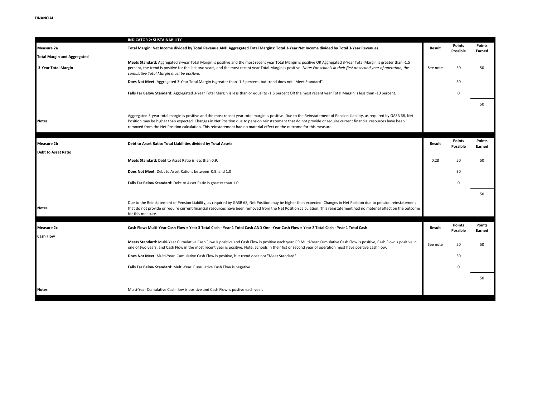|                                                           | <b>INDICATOR 2: SUSTAINABILITY</b>                                                                                                                                                                                                                                                                                                                                                                                                                                   |          |                           |                  |
|-----------------------------------------------------------|----------------------------------------------------------------------------------------------------------------------------------------------------------------------------------------------------------------------------------------------------------------------------------------------------------------------------------------------------------------------------------------------------------------------------------------------------------------------|----------|---------------------------|------------------|
| Measure 2a                                                | Total Margin: Net Income divided by Total Revenue AND Aggregated Total Margins: Total 3-Year Net Income divided by Total 3-Year Revenues.                                                                                                                                                                                                                                                                                                                            | Result   | <b>Points</b><br>Possible | Points<br>Earned |
| <b>Total Margin and Aggregated</b><br>3-Year Total Margin | Meets Standard: Aggregated 3-year Total Margin is positive and the most recent year Total Margin is positive OR Aggregated 3-Year Total Margin is greater than -1.5<br>percent, the trend is positive for the last two years, and the most recent year Total Margin is positive. Note: For schools in their first or second year of operation, the<br>cumulative Total Margin must be positive.                                                                      | See note | 50                        | 50               |
|                                                           | Does Not Meet: Aggregated 3-Year Total Margin is greater than -1.5 percent, but trend does not "Meet Standard".                                                                                                                                                                                                                                                                                                                                                      |          | 30                        |                  |
|                                                           | Falls Far Below Standard: Aggregated 3-Year Total Margin is less than or equal to -1.5 percent OR the most recent year Total Margin is less than -10 percent.                                                                                                                                                                                                                                                                                                        |          | $\Omega$                  |                  |
|                                                           |                                                                                                                                                                                                                                                                                                                                                                                                                                                                      |          |                           | 50               |
| <b>Notes</b>                                              | Aggregated 3-year total margin is positive and the most recent year total margin is positive. Due to the Reinstatement of Pension Liability, as required by GASB 68, Net<br>Position may be higher than expected. Changes in Net Position due to pension reinstatement that do not provide or require current financial resources have been<br>removed from the Net Position calculation. This reinstatement had no material effect on the outcome for this measure. |          |                           |                  |
| <b>Measure 2b</b><br><b>Debt to Asset Ratio</b>           | Debt to Asset Ratio: Total Liabilities divided by Total Assets                                                                                                                                                                                                                                                                                                                                                                                                       | Result   | Points<br>Possible        | Points<br>Earned |
|                                                           | Meets Standard: Debt to Asset Ratio is less than 0.9.                                                                                                                                                                                                                                                                                                                                                                                                                | 0.28     | 50                        | 50               |
|                                                           | Does Not Meet: Debt to Asset Ratio is between 0.9, and 1.0                                                                                                                                                                                                                                                                                                                                                                                                           |          | 30                        |                  |
|                                                           | Falls Far Below Standard: Debt to Asset Ratio is greater than 1.0                                                                                                                                                                                                                                                                                                                                                                                                    |          | $\Omega$                  |                  |
|                                                           |                                                                                                                                                                                                                                                                                                                                                                                                                                                                      |          |                           | 50               |
| <b>Notes</b>                                              | Due to the Reinstatement of Pension Liability, as required by GASB 68, Net Position may be higher than expected. Changes in Net Position due to pension reinstatement<br>that do not provide or require current financial resources have been removed from the Net Position calculation. This reinstatement had no material effect on the outcome<br>for this measure.                                                                                               |          |                           |                  |
| Measure 2c                                                | Cash Flow: Multi-Year Cash Flow = Year 3 Total Cash - Year 1 Total Cash AND One -Year Cash Flow = Year 2 Total Cash - Year 1 Total Cash                                                                                                                                                                                                                                                                                                                              | Result   | <b>Points</b><br>Possible | Points<br>Earned |
| <b>Cash Flow</b>                                          | Meets Standard: Multi-Year Cumulative Cash Flow is positive and Cash Flow is positive each year OR Multi-Year Cumulative Cash Flow is positive, Cash Flow is positive in<br>one of two years, and Cash Flow in the most recent year is positive. Note: Schools in their fist or second year of operation must have positive cash flow.                                                                                                                               | See note | 50                        | 50               |
|                                                           | Does Not Meet: Multi-Year Cumulative Cash Flow is positive, but trend does not "Meet Standard"                                                                                                                                                                                                                                                                                                                                                                       |          | 30                        |                  |
|                                                           | Falls Far Below Standard: Multi-Year Cumulative Cash Flow is negative.                                                                                                                                                                                                                                                                                                                                                                                               |          | $\Omega$                  |                  |
|                                                           |                                                                                                                                                                                                                                                                                                                                                                                                                                                                      |          |                           | 50               |
| Notes                                                     | Multi-Year Cumulative Cash flow is positive and Cash Flow is postive each year.                                                                                                                                                                                                                                                                                                                                                                                      |          |                           |                  |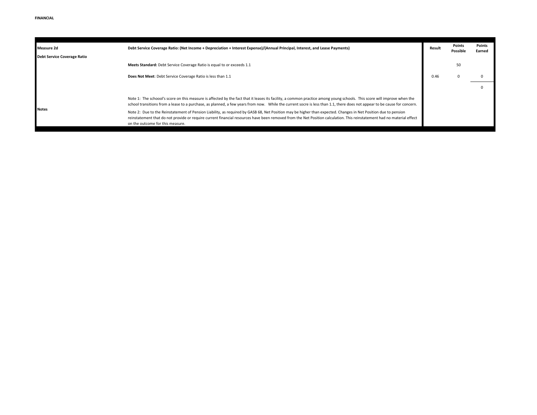| <b>Measure 2d</b>                  | Debt Service Coverage Ratio: (Net Income + Depreciation + Interest Expense)/(Annual Principal, Interest, and Lease Payments)                                                                                                                                                                                                                                                   | Result | Points<br>Possible | Points<br>Earned |
|------------------------------------|--------------------------------------------------------------------------------------------------------------------------------------------------------------------------------------------------------------------------------------------------------------------------------------------------------------------------------------------------------------------------------|--------|--------------------|------------------|
| <b>Debt Service Coverage Ratio</b> |                                                                                                                                                                                                                                                                                                                                                                                |        |                    |                  |
|                                    | Meets Standard: Debt Service Coverage Ratio is equal to or exceeds 1.1                                                                                                                                                                                                                                                                                                         |        | 50                 |                  |
|                                    | Does Not Meet: Debt Service Coverage Ratio is less than 1.1                                                                                                                                                                                                                                                                                                                    | 0.46   |                    |                  |
|                                    |                                                                                                                                                                                                                                                                                                                                                                                |        |                    |                  |
| <b>Notes</b>                       | Note 1: The schoool's score on this measure is affected by the fact that it leases its facility, a common practice among young schools. This score will improve when the<br>school transitions from a lease to a purchase, as planned, a few years from now. While the current socre is less than 1.1, there does not appear to be cause for concern.                          |        |                    |                  |
|                                    | Note 2: Due to the Reinstatement of Pension Liability, as required by GASB 68, Net Position may be higher than expected. Changes in Net Position due to pension<br>reinstatement that do not provide or require current financial resources have been removed from the Net Position calculation. This reinstatement had no material effect<br>on the outcome for this measure. |        |                    |                  |